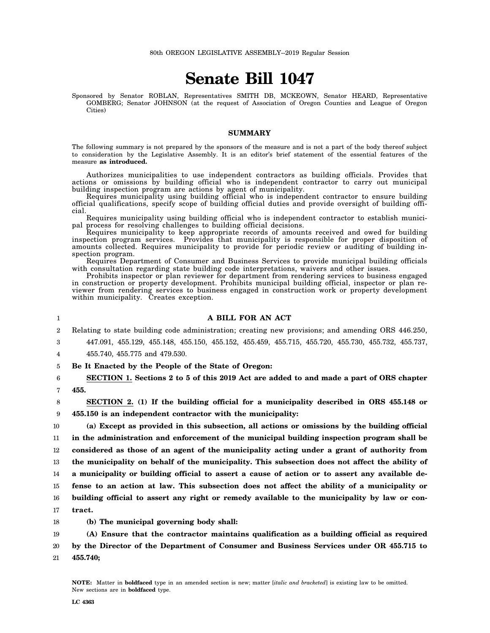# **Senate Bill 1047**

Sponsored by Senator ROBLAN, Representatives SMITH DB, MCKEOWN, Senator HEARD, Representative GOMBERG; Senator JOHNSON (at the request of Association of Oregon Counties and League of Oregon Cities)

#### **SUMMARY**

The following summary is not prepared by the sponsors of the measure and is not a part of the body thereof subject to consideration by the Legislative Assembly. It is an editor's brief statement of the essential features of the measure **as introduced.**

Authorizes municipalities to use independent contractors as building officials. Provides that actions or omissions by building official who is independent contractor to carry out municipal building inspection program are actions by agent of municipality.

Requires municipality using building official who is independent contractor to ensure building official qualifications, specify scope of building official duties and provide oversight of building official.

Requires municipality using building official who is independent contractor to establish municipal process for resolving challenges to building official decisions.

Requires municipality to keep appropriate records of amounts received and owed for building inspection program services. Provides that municipality is responsible for proper disposition of amounts collected. Requires municipality to provide for periodic review or auditing of building inspection program.

Requires Department of Consumer and Business Services to provide municipal building officials with consultation regarding state building code interpretations, waivers and other issues.

Prohibits inspector or plan reviewer for department from rendering services to business engaged in construction or property development. Prohibits municipal building official, inspector or plan reviewer from rendering services to business engaged in construction work or property development within municipality. Creates exception.

**A BILL FOR AN ACT**

#### 2 3 4 5 6 7 8 9 10 11 12 13 14 15 16 17 18 Relating to state building code administration; creating new provisions; and amending ORS 446.250, 447.091, 455.129, 455.148, 455.150, 455.152, 455.459, 455.715, 455.720, 455.730, 455.732, 455.737, 455.740, 455.775 and 479.530. **Be It Enacted by the People of the State of Oregon: SECTION 1. Sections 2 to 5 of this 2019 Act are added to and made a part of ORS chapter 455. SECTION 2. (1) If the building official for a municipality described in ORS 455.148 or 455.150 is an independent contractor with the municipality: (a) Except as provided in this subsection, all actions or omissions by the building official in the administration and enforcement of the municipal building inspection program shall be considered as those of an agent of the municipality acting under a grant of authority from the municipality on behalf of the municipality. This subsection does not affect the ability of a municipality or building official to assert a cause of action or to assert any available defense to an action at law. This subsection does not affect the ability of a municipality or building official to assert any right or remedy available to the municipality by law or contract. (b) The municipal governing body shall:**

19 20 21 **(A) Ensure that the contractor maintains qualification as a building official as required by the Director of the Department of Consumer and Business Services under OR 455.715 to 455.740;**

1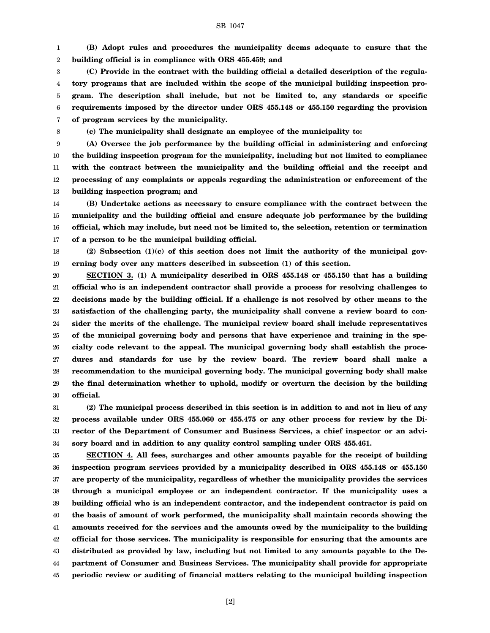1 2 **(B) Adopt rules and procedures the municipality deems adequate to ensure that the building official is in compliance with ORS 455.459; and**

3 4 5 6 7 **(C) Provide in the contract with the building official a detailed description of the regulatory programs that are included within the scope of the municipal building inspection program. The description shall include, but not be limited to, any standards or specific requirements imposed by the director under ORS 455.148 or 455.150 regarding the provision of program services by the municipality.**

8

**(c) The municipality shall designate an employee of the municipality to:**

9 10 11 12 13 **(A) Oversee the job performance by the building official in administering and enforcing the building inspection program for the municipality, including but not limited to compliance with the contract between the municipality and the building official and the receipt and processing of any complaints or appeals regarding the administration or enforcement of the building inspection program; and**

14 15 16 17 **(B) Undertake actions as necessary to ensure compliance with the contract between the municipality and the building official and ensure adequate job performance by the building official, which may include, but need not be limited to, the selection, retention or termination of a person to be the municipal building official.**

18 19 **(2) Subsection (1)(c) of this section does not limit the authority of the municipal governing body over any matters described in subsection (1) of this section.**

20 21 22 23 24 25 26 27 28 29 30 **SECTION 3. (1) A municipality described in ORS 455.148 or 455.150 that has a building official who is an independent contractor shall provide a process for resolving challenges to decisions made by the building official. If a challenge is not resolved by other means to the satisfaction of the challenging party, the municipality shall convene a review board to consider the merits of the challenge. The municipal review board shall include representatives of the municipal governing body and persons that have experience and training in the specialty code relevant to the appeal. The municipal governing body shall establish the procedures and standards for use by the review board. The review board shall make a recommendation to the municipal governing body. The municipal governing body shall make the final determination whether to uphold, modify or overturn the decision by the building official.**

31 32 33 34 **(2) The municipal process described in this section is in addition to and not in lieu of any process available under ORS 455.060 or 455.475 or any other process for review by the Director of the Department of Consumer and Business Services, a chief inspector or an advisory board and in addition to any quality control sampling under ORS 455.461.**

35 36 37 38 39 40 41 42 43 44 45 **SECTION 4. All fees, surcharges and other amounts payable for the receipt of building inspection program services provided by a municipality described in ORS 455.148 or 455.150 are property of the municipality, regardless of whether the municipality provides the services through a municipal employee or an independent contractor. If the municipality uses a building official who is an independent contractor, and the independent contractor is paid on the basis of amount of work performed, the municipality shall maintain records showing the amounts received for the services and the amounts owed by the municipality to the building official for those services. The municipality is responsible for ensuring that the amounts are distributed as provided by law, including but not limited to any amounts payable to the Department of Consumer and Business Services. The municipality shall provide for appropriate periodic review or auditing of financial matters relating to the municipal building inspection**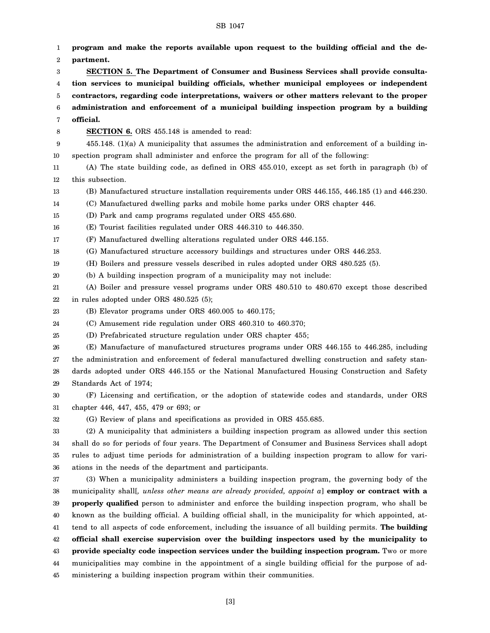| 2<br>3<br>4 | partment.<br>SECTION 5. The Department of Consumer and Business Services shall provide consulta-<br>tion services to municipal building officials, whether municipal employees or independent |
|-------------|-----------------------------------------------------------------------------------------------------------------------------------------------------------------------------------------------|
|             |                                                                                                                                                                                               |
|             |                                                                                                                                                                                               |
|             |                                                                                                                                                                                               |
| 5           | contractors, regarding code interpretations, waivers or other matters relevant to the proper                                                                                                  |
| 6           | administration and enforcement of a municipal building inspection program by a building                                                                                                       |
| 7           | official.                                                                                                                                                                                     |
| 8           | <b>SECTION 6.</b> ORS 455.148 is amended to read:                                                                                                                                             |
| 9           | 455.148. (1)(a) A municipality that assumes the administration and enforcement of a building in-                                                                                              |
| 10          | spection program shall administer and enforce the program for all of the following:                                                                                                           |
| 11          | (A) The state building code, as defined in ORS 455.010, except as set forth in paragraph (b) of                                                                                               |
| 12          | this subsection.                                                                                                                                                                              |
| 13          | (B) Manufactured structure installation requirements under ORS 446.155, 446.185 (1) and 446.230.                                                                                              |
| 14          | (C) Manufactured dwelling parks and mobile home parks under ORS chapter 446.                                                                                                                  |
| 15          | (D) Park and camp programs regulated under ORS 455.680.                                                                                                                                       |
| 16          | (E) Tourist facilities regulated under ORS 446.310 to 446.350.                                                                                                                                |
| 17          | (F) Manufactured dwelling alterations regulated under ORS 446.155.                                                                                                                            |
| 18          | (G) Manufactured structure accessory buildings and structures under ORS 446.253.                                                                                                              |
| 19          | (H) Boilers and pressure vessels described in rules adopted under ORS 480.525 (5).                                                                                                            |
| 20          | (b) A building inspection program of a municipality may not include:                                                                                                                          |
| 21          | (A) Boiler and pressure vessel programs under ORS 480.510 to 480.670 except those described                                                                                                   |
| 22          | in rules adopted under ORS 480.525 (5);                                                                                                                                                       |
| 23          | (B) Elevator programs under ORS 460.005 to 460.175;                                                                                                                                           |
| 24          | (C) Amusement ride regulation under ORS 460.310 to 460.370;                                                                                                                                   |
| 25          | (D) Prefabricated structure regulation under ORS chapter 455;                                                                                                                                 |
| 26          | (E) Manufacture of manufactured structures programs under ORS 446.155 to 446.285, including                                                                                                   |
| 27          | the administration and enforcement of federal manufactured dwelling construction and safety stan-                                                                                             |
| 28          | dards adopted under ORS 446.155 or the National Manufactured Housing Construction and Safety                                                                                                  |
| 29          | Standards Act of 1974;                                                                                                                                                                        |
| 30          | (F) Licensing and certification, or the adoption of statewide codes and standards, under ORS                                                                                                  |
| 31          | chapter 446, 447, 455, 479 or 693; or                                                                                                                                                         |
| 32          | (G) Review of plans and specifications as provided in ORS 455.685.                                                                                                                            |
| 33          | (2) A municipality that administers a building inspection program as allowed under this section                                                                                               |
| 34          | shall do so for periods of four years. The Department of Consumer and Business Services shall adopt                                                                                           |
| 35          | rules to adjust time periods for administration of a building inspection program to allow for vari-                                                                                           |
| 36          | ations in the needs of the department and participants.                                                                                                                                       |
| 37          | (3) When a municipality administers a building inspection program, the governing body of the                                                                                                  |
| 38          | municipality shall[, unless other means are already provided, appoint a] employ or contract with a                                                                                            |
| 39          | properly qualified person to administer and enforce the building inspection program, who shall be                                                                                             |
| 40          | known as the building official. A building official shall, in the municipality for which appointed, at-                                                                                       |
| 41          | tend to all aspects of code enforcement, including the issuance of all building permits. The building                                                                                         |
| 42          | official shall exercise supervision over the building inspectors used by the municipality to                                                                                                  |
| 43          | provide specialty code inspection services under the building inspection program. Two or more                                                                                                 |
| 44          | municipalities may combine in the appointment of a single building official for the purpose of ad-                                                                                            |
| 45          | ministering a building inspection program within their communities.                                                                                                                           |

[3]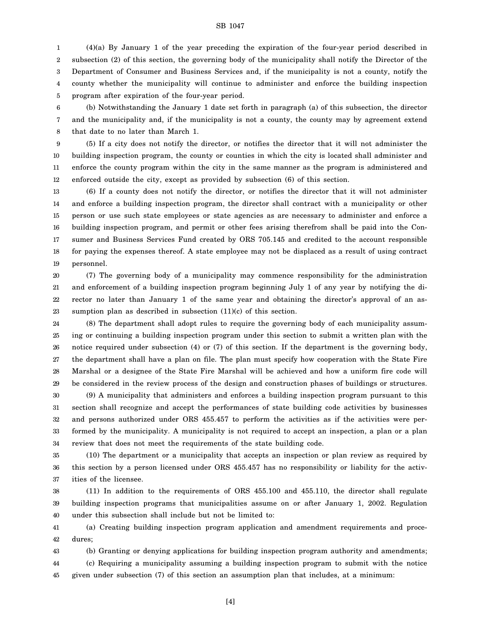1 2 3 4 5 (4)(a) By January 1 of the year preceding the expiration of the four-year period described in subsection (2) of this section, the governing body of the municipality shall notify the Director of the Department of Consumer and Business Services and, if the municipality is not a county, notify the county whether the municipality will continue to administer and enforce the building inspection program after expiration of the four-year period.

6 7 8 (b) Notwithstanding the January 1 date set forth in paragraph (a) of this subsection, the director and the municipality and, if the municipality is not a county, the county may by agreement extend that date to no later than March 1.

9 10 11 12 (5) If a city does not notify the director, or notifies the director that it will not administer the building inspection program, the county or counties in which the city is located shall administer and enforce the county program within the city in the same manner as the program is administered and enforced outside the city, except as provided by subsection (6) of this section.

13 14 15 16 17 18 19 (6) If a county does not notify the director, or notifies the director that it will not administer and enforce a building inspection program, the director shall contract with a municipality or other person or use such state employees or state agencies as are necessary to administer and enforce a building inspection program, and permit or other fees arising therefrom shall be paid into the Consumer and Business Services Fund created by ORS 705.145 and credited to the account responsible for paying the expenses thereof. A state employee may not be displaced as a result of using contract personnel.

20 21 22 23 (7) The governing body of a municipality may commence responsibility for the administration and enforcement of a building inspection program beginning July 1 of any year by notifying the director no later than January 1 of the same year and obtaining the director's approval of an assumption plan as described in subsection (11)(c) of this section.

24 25 26 27 28 29 (8) The department shall adopt rules to require the governing body of each municipality assuming or continuing a building inspection program under this section to submit a written plan with the notice required under subsection (4) or (7) of this section. If the department is the governing body, the department shall have a plan on file. The plan must specify how cooperation with the State Fire Marshal or a designee of the State Fire Marshal will be achieved and how a uniform fire code will be considered in the review process of the design and construction phases of buildings or structures.

30 31 32 33 34 (9) A municipality that administers and enforces a building inspection program pursuant to this section shall recognize and accept the performances of state building code activities by businesses and persons authorized under ORS 455.457 to perform the activities as if the activities were performed by the municipality. A municipality is not required to accept an inspection, a plan or a plan review that does not meet the requirements of the state building code.

35 36 37 (10) The department or a municipality that accepts an inspection or plan review as required by this section by a person licensed under ORS 455.457 has no responsibility or liability for the activities of the licensee.

38 39 40 (11) In addition to the requirements of ORS 455.100 and 455.110, the director shall regulate building inspection programs that municipalities assume on or after January 1, 2002. Regulation under this subsection shall include but not be limited to:

41 42 (a) Creating building inspection program application and amendment requirements and procedures;

43 44 45 (b) Granting or denying applications for building inspection program authority and amendments; (c) Requiring a municipality assuming a building inspection program to submit with the notice given under subsection (7) of this section an assumption plan that includes, at a minimum:

[4]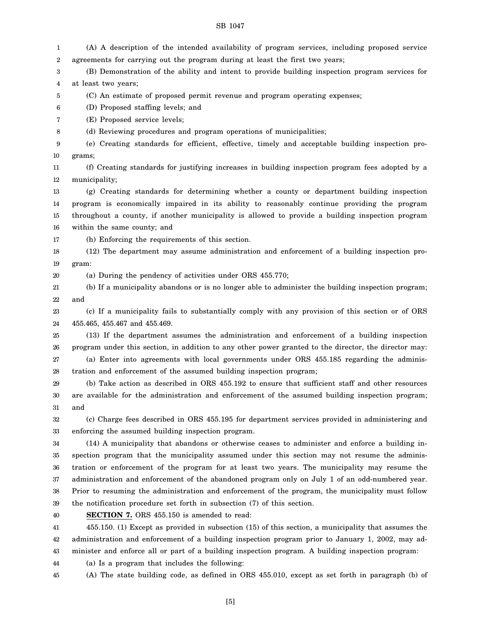| 1  | (A) A description of the intended availability of program services, including proposed service        |
|----|-------------------------------------------------------------------------------------------------------|
| 2  | agreements for carrying out the program during at least the first two years;                          |
| 3  | (B) Demonstration of the ability and intent to provide building inspection program services for       |
| 4  | at least two years;                                                                                   |
| 5  | (C) An estimate of proposed permit revenue and program operating expenses;                            |
| 6  | (D) Proposed staffing levels; and                                                                     |
| 7  | (E) Proposed service levels;                                                                          |
| 8  | (d) Reviewing procedures and program operations of municipalities;                                    |
| 9  | (e) Creating standards for efficient, effective, timely and acceptable building inspection pro-       |
| 10 | grams;                                                                                                |
| 11 | (f) Creating standards for justifying increases in building inspection program fees adopted by a      |
| 12 | municipality;                                                                                         |
| 13 | (g) Creating standards for determining whether a county or department building inspection             |
| 14 | program is economically impaired in its ability to reasonably continue providing the program          |
| 15 | throughout a county, if another municipality is allowed to provide a building inspection program      |
| 16 | within the same county; and                                                                           |
| 17 | (h) Enforcing the requirements of this section.                                                       |
| 18 | (12) The department may assume administration and enforcement of a building inspection pro-           |
| 19 | gram:                                                                                                 |
| 20 | (a) During the pendency of activities under ORS 455.770;                                              |
| 21 | (b) If a municipality abandons or is no longer able to administer the building inspection program;    |
| 22 | and                                                                                                   |
| 23 | (c) If a municipality fails to substantially comply with any provision of this section or of ORS      |
| 24 | 455.465, 455.467 and 455.469.                                                                         |
| 25 | (13) If the department assumes the administration and enforcement of a building inspection            |
| 26 | program under this section, in addition to any other power granted to the director, the director may: |
| 27 | (a) Enter into agreements with local governments under ORS 455.185 regarding the adminis-             |
| 28 | tration and enforcement of the assumed building inspection program;                                   |
| 29 | (b) Take action as described in ORS 455.192 to ensure that sufficient staff and other resources       |
| 30 | are available for the administration and enforcement of the assumed building inspection program;      |
| 31 | and                                                                                                   |
| 32 | (c) Charge fees described in ORS 455.195 for department services provided in administering and        |
| 33 | enforcing the assumed building inspection program.                                                    |
| 34 | (14) A municipality that abandons or otherwise ceases to administer and enforce a building in-        |
| 35 | spection program that the municipality assumed under this section may not resume the adminis-         |
| 36 | tration or enforcement of the program for at least two years. The municipality may resume the         |
| 37 | administration and enforcement of the abandoned program only on July 1 of an odd-numbered year.       |
| 38 | Prior to resuming the administration and enforcement of the program, the municipality must follow     |
| 39 | the notification procedure set forth in subsection (7) of this section.                               |
| 40 | SECTION 7. ORS 455.150 is amended to read:                                                            |
| 41 | 455.150. (1) Except as provided in subsection (15) of this section, a municipality that assumes the   |
| 42 | administration and enforcement of a building inspection program prior to January 1, 2002, may ad-     |
| 43 | minister and enforce all or part of a building inspection program. A building inspection program:     |
| 44 | (a) Is a program that includes the following:                                                         |
| 45 | (A) The state building code, as defined in ORS 455.010, except as set forth in paragraph (b) of       |
|    |                                                                                                       |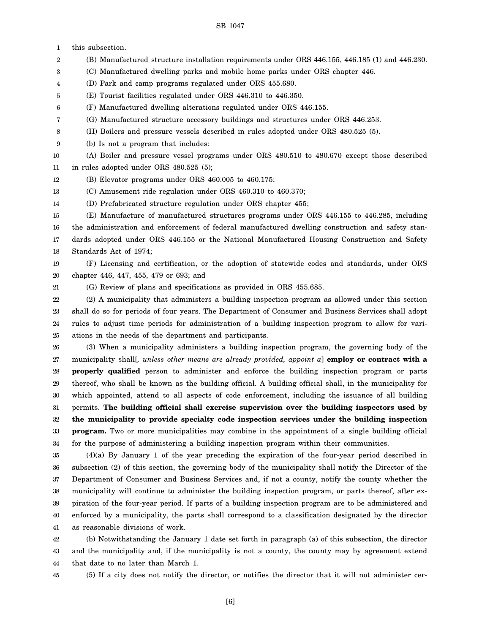1 this subsection.

2 (B) Manufactured structure installation requirements under ORS 446.155, 446.185 (1) and 446.230.

- 3 (C) Manufactured dwelling parks and mobile home parks under ORS chapter 446.
- 4 (D) Park and camp programs regulated under ORS 455.680.
- 5 (E) Tourist facilities regulated under ORS 446.310 to 446.350.
- 6 (F) Manufactured dwelling alterations regulated under ORS 446.155.
- 7 (G) Manufactured structure accessory buildings and structures under ORS 446.253.
- 8 (H) Boilers and pressure vessels described in rules adopted under ORS 480.525 (5).
- 9 (b) Is not a program that includes:

10 11 (A) Boiler and pressure vessel programs under ORS 480.510 to 480.670 except those described in rules adopted under ORS 480.525 (5);

- 12 (B) Elevator programs under ORS 460.005 to 460.175;
- 13 (C) Amusement ride regulation under ORS 460.310 to 460.370;
- 14 (D) Prefabricated structure regulation under ORS chapter 455;

15 16 17 18 (E) Manufacture of manufactured structures programs under ORS 446.155 to 446.285, including the administration and enforcement of federal manufactured dwelling construction and safety standards adopted under ORS 446.155 or the National Manufactured Housing Construction and Safety Standards Act of 1974;

19 20 (F) Licensing and certification, or the adoption of statewide codes and standards, under ORS chapter 446, 447, 455, 479 or 693; and

21

(G) Review of plans and specifications as provided in ORS 455.685.

22 23 24 25 (2) A municipality that administers a building inspection program as allowed under this section shall do so for periods of four years. The Department of Consumer and Business Services shall adopt rules to adjust time periods for administration of a building inspection program to allow for variations in the needs of the department and participants.

26 27 28 29 30 31 32 33 34 (3) When a municipality administers a building inspection program, the governing body of the municipality shall[*, unless other means are already provided, appoint a*] **employ or contract with a properly qualified** person to administer and enforce the building inspection program or parts thereof, who shall be known as the building official. A building official shall, in the municipality for which appointed, attend to all aspects of code enforcement, including the issuance of all building permits. **The building official shall exercise supervision over the building inspectors used by the municipality to provide specialty code inspection services under the building inspection program.** Two or more municipalities may combine in the appointment of a single building official for the purpose of administering a building inspection program within their communities.

35 36 37 38 39 40 41 (4)(a) By January 1 of the year preceding the expiration of the four-year period described in subsection (2) of this section, the governing body of the municipality shall notify the Director of the Department of Consumer and Business Services and, if not a county, notify the county whether the municipality will continue to administer the building inspection program, or parts thereof, after expiration of the four-year period. If parts of a building inspection program are to be administered and enforced by a municipality, the parts shall correspond to a classification designated by the director as reasonable divisions of work.

42 43 44 (b) Notwithstanding the January 1 date set forth in paragraph (a) of this subsection, the director and the municipality and, if the municipality is not a county, the county may by agreement extend that date to no later than March 1.

45

(5) If a city does not notify the director, or notifies the director that it will not administer cer-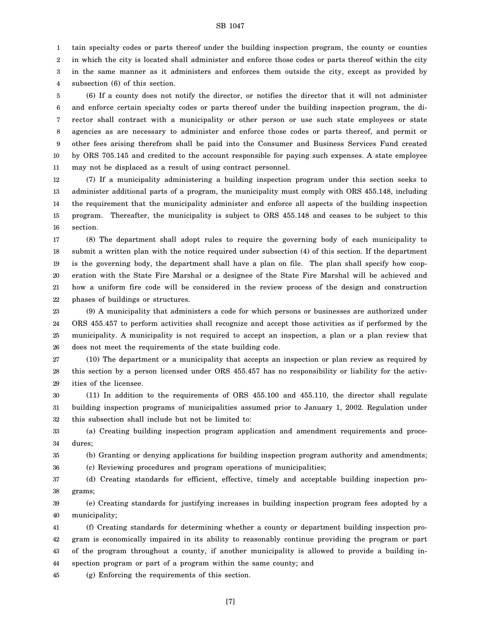1 tain specialty codes or parts thereof under the building inspection program, the county or counties

2 3 in which the city is located shall administer and enforce those codes or parts thereof within the city in the same manner as it administers and enforces them outside the city, except as provided by

4 subsection (6) of this section.

5 6 7 8 9 10 11 (6) If a county does not notify the director, or notifies the director that it will not administer and enforce certain specialty codes or parts thereof under the building inspection program, the director shall contract with a municipality or other person or use such state employees or state agencies as are necessary to administer and enforce those codes or parts thereof, and permit or other fees arising therefrom shall be paid into the Consumer and Business Services Fund created by ORS 705.145 and credited to the account responsible for paying such expenses. A state employee may not be displaced as a result of using contract personnel.

12 13 14 15 16 (7) If a municipality administering a building inspection program under this section seeks to administer additional parts of a program, the municipality must comply with ORS 455.148, including the requirement that the municipality administer and enforce all aspects of the building inspection program. Thereafter, the municipality is subject to ORS 455.148 and ceases to be subject to this section.

17 18 19 20 21 22 (8) The department shall adopt rules to require the governing body of each municipality to submit a written plan with the notice required under subsection (4) of this section. If the department is the governing body, the department shall have a plan on file. The plan shall specify how cooperation with the State Fire Marshal or a designee of the State Fire Marshal will be achieved and how a uniform fire code will be considered in the review process of the design and construction phases of buildings or structures.

23 24 25 26 (9) A municipality that administers a code for which persons or businesses are authorized under ORS 455.457 to perform activities shall recognize and accept those activities as if performed by the municipality. A municipality is not required to accept an inspection, a plan or a plan review that does not meet the requirements of the state building code.

27 28 29 (10) The department or a municipality that accepts an inspection or plan review as required by this section by a person licensed under ORS 455.457 has no responsibility or liability for the activities of the licensee.

30 31 32 (11) In addition to the requirements of ORS 455.100 and 455.110, the director shall regulate building inspection programs of municipalities assumed prior to January 1, 2002. Regulation under this subsection shall include but not be limited to:

33 34 (a) Creating building inspection program application and amendment requirements and procedures;

35 (b) Granting or denying applications for building inspection program authority and amendments;

36 (c) Reviewing procedures and program operations of municipalities;

37 38 (d) Creating standards for efficient, effective, timely and acceptable building inspection programs;

39 40 (e) Creating standards for justifying increases in building inspection program fees adopted by a municipality;

41 42 43 44 (f) Creating standards for determining whether a county or department building inspection program is economically impaired in its ability to reasonably continue providing the program or part of the program throughout a county, if another municipality is allowed to provide a building inspection program or part of a program within the same county; and

45 (g) Enforcing the requirements of this section.

[7]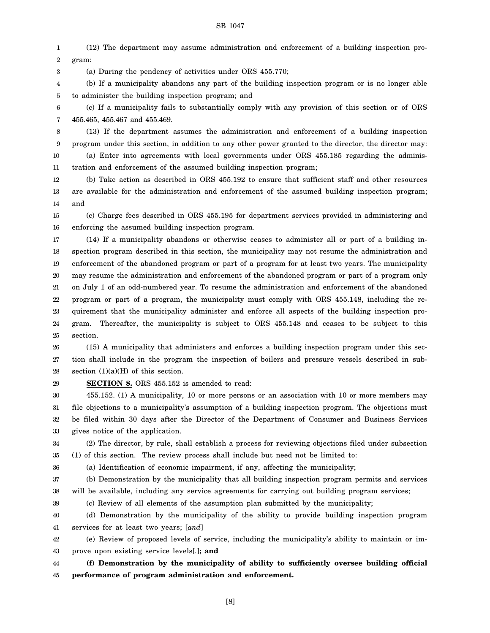1 2 (12) The department may assume administration and enforcement of a building inspection program:

3 (a) During the pendency of activities under ORS 455.770;

4 5 (b) If a municipality abandons any part of the building inspection program or is no longer able to administer the building inspection program; and

6 7 (c) If a municipality fails to substantially comply with any provision of this section or of ORS 455.465, 455.467 and 455.469.

8 9 10 11 (13) If the department assumes the administration and enforcement of a building inspection program under this section, in addition to any other power granted to the director, the director may: (a) Enter into agreements with local governments under ORS 455.185 regarding the administration and enforcement of the assumed building inspection program;

12 13 14 (b) Take action as described in ORS 455.192 to ensure that sufficient staff and other resources are available for the administration and enforcement of the assumed building inspection program; and

15 16 (c) Charge fees described in ORS 455.195 for department services provided in administering and enforcing the assumed building inspection program.

17 18 19 20 21 22 23 24 25 (14) If a municipality abandons or otherwise ceases to administer all or part of a building inspection program described in this section, the municipality may not resume the administration and enforcement of the abandoned program or part of a program for at least two years. The municipality may resume the administration and enforcement of the abandoned program or part of a program only on July 1 of an odd-numbered year. To resume the administration and enforcement of the abandoned program or part of a program, the municipality must comply with ORS 455.148, including the requirement that the municipality administer and enforce all aspects of the building inspection program. Thereafter, the municipality is subject to ORS 455.148 and ceases to be subject to this section.

26 27 28 (15) A municipality that administers and enforces a building inspection program under this section shall include in the program the inspection of boilers and pressure vessels described in subsection  $(1)(a)(H)$  of this section.

29

**SECTION 8.** ORS 455.152 is amended to read:

30 31 32 33 455.152. (1) A municipality, 10 or more persons or an association with 10 or more members may file objections to a municipality's assumption of a building inspection program. The objections must be filed within 30 days after the Director of the Department of Consumer and Business Services gives notice of the application.

34 35 (2) The director, by rule, shall establish a process for reviewing objections filed under subsection (1) of this section. The review process shall include but need not be limited to:

36 (a) Identification of economic impairment, if any, affecting the municipality;

37 38 (b) Demonstration by the municipality that all building inspection program permits and services will be available, including any service agreements for carrying out building program services;

39

(c) Review of all elements of the assumption plan submitted by the municipality;

40 41 (d) Demonstration by the municipality of the ability to provide building inspection program services for at least two years; [*and*]

42 43 (e) Review of proposed levels of service, including the municipality's ability to maintain or improve upon existing service levels[*.*]**; and**

44 45 **(f) Demonstration by the municipality of ability to sufficiently oversee building official performance of program administration and enforcement.**

[8]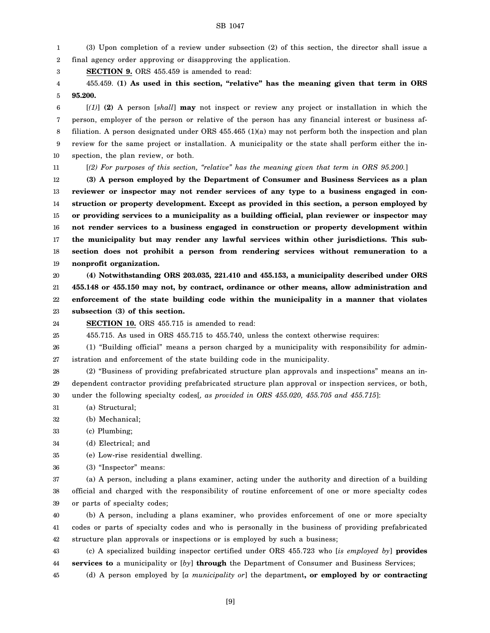1 2 (3) Upon completion of a review under subsection (2) of this section, the director shall issue a final agency order approving or disapproving the application.

3 **SECTION 9.** ORS 455.459 is amended to read:

4 5 455.459. **(1) As used in this section, "relative" has the meaning given that term in ORS 95.200.**

6 7 8 9 10 [*(1)*] **(2)** A person [*shall*] **may** not inspect or review any project or installation in which the person, employer of the person or relative of the person has any financial interest or business affiliation. A person designated under ORS 455.465 (1)(a) may not perform both the inspection and plan review for the same project or installation. A municipality or the state shall perform either the inspection, the plan review, or both.

11

[*(2) For purposes of this section, "relative" has the meaning given that term in ORS 95.200.*]

12 13 14 15 16 17 18 19 **(3) A person employed by the Department of Consumer and Business Services as a plan reviewer or inspector may not render services of any type to a business engaged in construction or property development. Except as provided in this section, a person employed by or providing services to a municipality as a building official, plan reviewer or inspector may not render services to a business engaged in construction or property development within the municipality but may render any lawful services within other jurisdictions. This subsection does not prohibit a person from rendering services without remuneration to a nonprofit organization.**

20 21 22 23 **(4) Notwithstanding ORS 203.035, 221.410 and 455.153, a municipality described under ORS 455.148 or 455.150 may not, by contract, ordinance or other means, allow administration and enforcement of the state building code within the municipality in a manner that violates subsection (3) of this section.**

24 **SECTION 10.** ORS 455.715 is amended to read:

25 455.715. As used in ORS 455.715 to 455.740, unless the context otherwise requires:

26 27 (1) "Building official" means a person charged by a municipality with responsibility for administration and enforcement of the state building code in the municipality.

28 29 30 (2) "Business of providing prefabricated structure plan approvals and inspections" means an independent contractor providing prefabricated structure plan approval or inspection services, or both, under the following specialty codes[*, as provided in ORS 455.020, 455.705 and 455.715*]:

31 (a) Structural;

32 (b) Mechanical;

33 (c) Plumbing;

34 (d) Electrical; and

35 (e) Low-rise residential dwelling.

36 (3) "Inspector" means:

37 38 39 (a) A person, including a plans examiner, acting under the authority and direction of a building official and charged with the responsibility of routine enforcement of one or more specialty codes or parts of specialty codes;

40 41 42 (b) A person, including a plans examiner, who provides enforcement of one or more specialty codes or parts of specialty codes and who is personally in the business of providing prefabricated structure plan approvals or inspections or is employed by such a business;

43 44 (c) A specialized building inspector certified under ORS 455.723 who [*is employed by*] **provides services to** a municipality or [*by*] **through** the Department of Consumer and Business Services;

45 (d) A person employed by [*a municipality or*] the department**, or employed by or contracting**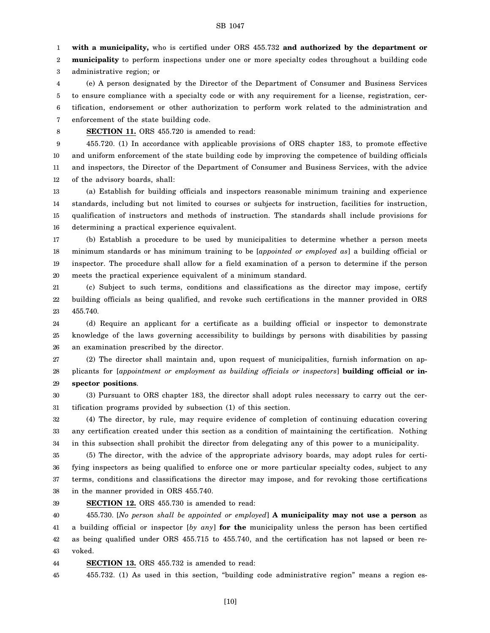1 **with a municipality,** who is certified under ORS 455.732 **and authorized by the department or**

2 3 **municipality** to perform inspections under one or more specialty codes throughout a building code administrative region; or

4 5 6 7 (e) A person designated by the Director of the Department of Consumer and Business Services to ensure compliance with a specialty code or with any requirement for a license, registration, certification, endorsement or other authorization to perform work related to the administration and enforcement of the state building code.

8

**SECTION 11.** ORS 455.720 is amended to read:

9 10 11 12 455.720. (1) In accordance with applicable provisions of ORS chapter 183, to promote effective and uniform enforcement of the state building code by improving the competence of building officials and inspectors, the Director of the Department of Consumer and Business Services, with the advice of the advisory boards, shall:

13 14 15 16 (a) Establish for building officials and inspectors reasonable minimum training and experience standards, including but not limited to courses or subjects for instruction, facilities for instruction, qualification of instructors and methods of instruction. The standards shall include provisions for determining a practical experience equivalent.

17 18 19 20 (b) Establish a procedure to be used by municipalities to determine whether a person meets minimum standards or has minimum training to be [*appointed or employed as*] a building official or inspector. The procedure shall allow for a field examination of a person to determine if the person meets the practical experience equivalent of a minimum standard.

21 22 23 (c) Subject to such terms, conditions and classifications as the director may impose, certify building officials as being qualified, and revoke such certifications in the manner provided in ORS 455.740.

24 25 26 (d) Require an applicant for a certificate as a building official or inspector to demonstrate knowledge of the laws governing accessibility to buildings by persons with disabilities by passing an examination prescribed by the director.

27 28 29 (2) The director shall maintain and, upon request of municipalities, furnish information on applicants for [*appointment or employment as building officials or inspectors*] **building official or inspector positions**.

30 31 (3) Pursuant to ORS chapter 183, the director shall adopt rules necessary to carry out the certification programs provided by subsection (1) of this section.

32 33 34 (4) The director, by rule, may require evidence of completion of continuing education covering any certification created under this section as a condition of maintaining the certification. Nothing in this subsection shall prohibit the director from delegating any of this power to a municipality.

35 36 37 38 (5) The director, with the advice of the appropriate advisory boards, may adopt rules for certifying inspectors as being qualified to enforce one or more particular specialty codes, subject to any terms, conditions and classifications the director may impose, and for revoking those certifications in the manner provided in ORS 455.740.

39

**SECTION 12.** ORS 455.730 is amended to read:

40 41 42 43 455.730. [*No person shall be appointed or employed*] **A municipality may not use a person** as a building official or inspector [*by any*] **for the** municipality unless the person has been certified as being qualified under ORS 455.715 to 455.740, and the certification has not lapsed or been revoked.

44 **SECTION 13.** ORS 455.732 is amended to read:

45 455.732. (1) As used in this section, "building code administrative region" means a region es-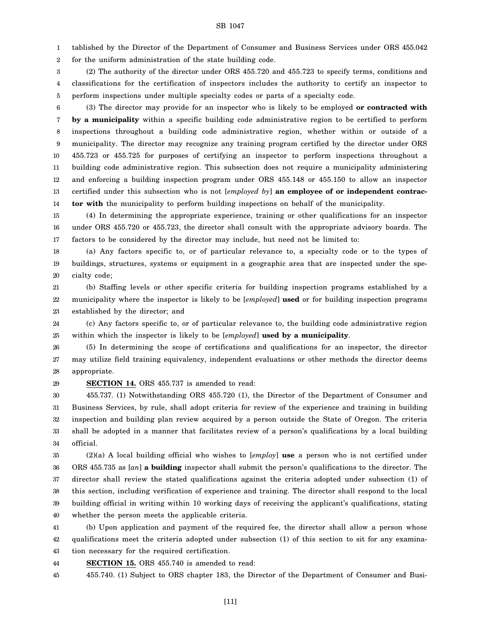1 tablished by the Director of the Department of Consumer and Business Services under ORS 455.042

2 for the uniform administration of the state building code.

3 4 5 (2) The authority of the director under ORS 455.720 and 455.723 to specify terms, conditions and classifications for the certification of inspectors includes the authority to certify an inspector to perform inspections under multiple specialty codes or parts of a specialty code.

6 7 8 9 10 11 12 13 14 (3) The director may provide for an inspector who is likely to be employed **or contracted with by a municipality** within a specific building code administrative region to be certified to perform inspections throughout a building code administrative region, whether within or outside of a municipality. The director may recognize any training program certified by the director under ORS 455.723 or 455.725 for purposes of certifying an inspector to perform inspections throughout a building code administrative region. This subsection does not require a municipality administering and enforcing a building inspection program under ORS 455.148 or 455.150 to allow an inspector certified under this subsection who is not [*employed by*] **an employee of or independent contractor with** the municipality to perform building inspections on behalf of the municipality.

15 16 17 (4) In determining the appropriate experience, training or other qualifications for an inspector under ORS 455.720 or 455.723, the director shall consult with the appropriate advisory boards. The factors to be considered by the director may include, but need not be limited to:

18 19 20 (a) Any factors specific to, or of particular relevance to, a specialty code or to the types of buildings, structures, systems or equipment in a geographic area that are inspected under the specialty code;

21 22 23 (b) Staffing levels or other specific criteria for building inspection programs established by a municipality where the inspector is likely to be [*employed*] **used** or for building inspection programs established by the director; and

24 25 (c) Any factors specific to, or of particular relevance to, the building code administrative region within which the inspector is likely to be [*employed*] **used by a municipality**.

26 27 28 (5) In determining the scope of certifications and qualifications for an inspector, the director may utilize field training equivalency, independent evaluations or other methods the director deems appropriate.

29

#### **SECTION 14.** ORS 455.737 is amended to read:

30 31 32 33 34 455.737. (1) Notwithstanding ORS 455.720 (1), the Director of the Department of Consumer and Business Services, by rule, shall adopt criteria for review of the experience and training in building inspection and building plan review acquired by a person outside the State of Oregon. The criteria shall be adopted in a manner that facilitates review of a person's qualifications by a local building official.

35 36 37 38 39 40 (2)(a) A local building official who wishes to [*employ*] **use** a person who is not certified under ORS 455.735 as [*an*] **a building** inspector shall submit the person's qualifications to the director. The director shall review the stated qualifications against the criteria adopted under subsection (1) of this section, including verification of experience and training. The director shall respond to the local building official in writing within 10 working days of receiving the applicant's qualifications, stating whether the person meets the applicable criteria.

41 42 43 (b) Upon application and payment of the required fee, the director shall allow a person whose qualifications meet the criteria adopted under subsection (1) of this section to sit for any examination necessary for the required certification.

44 **SECTION 15.** ORS 455.740 is amended to read:

45 455.740. (1) Subject to ORS chapter 183, the Director of the Department of Consumer and Busi-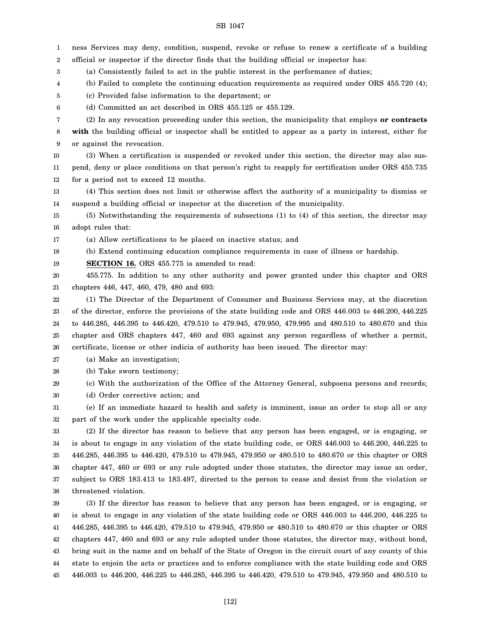ness Services may deny, condition, suspend, revoke or refuse to renew a certificate of a building

1

2 3 4 5 6 7 8 9 10 11 12 13 14 15 16 17 18 19 20 21 22 23 24 25 26 27 28 29 30 31 32 33 34 35 36 37 38 39 40 41 42 43 44 45 official or inspector if the director finds that the building official or inspector has: (a) Consistently failed to act in the public interest in the performance of duties; (b) Failed to complete the continuing education requirements as required under ORS 455.720 (4); (c) Provided false information to the department; or (d) Committed an act described in ORS 455.125 or 455.129. (2) In any revocation proceeding under this section, the municipality that employs **or contracts with** the building official or inspector shall be entitled to appear as a party in interest, either for or against the revocation. (3) When a certification is suspended or revoked under this section, the director may also suspend, deny or place conditions on that person's right to reapply for certification under ORS 455.735 for a period not to exceed 12 months. (4) This section does not limit or otherwise affect the authority of a municipality to dismiss or suspend a building official or inspector at the discretion of the municipality. (5) Notwithstanding the requirements of subsections (1) to (4) of this section, the director may adopt rules that: (a) Allow certifications to be placed on inactive status; and (b) Extend continuing education compliance requirements in case of illness or hardship. **SECTION 16.** ORS 455.775 is amended to read: 455.775. In addition to any other authority and power granted under this chapter and ORS chapters 446, 447, 460, 479, 480 and 693: (1) The Director of the Department of Consumer and Business Services may, at the discretion of the director, enforce the provisions of the state building code and ORS 446.003 to 446.200, 446.225 to 446.285, 446.395 to 446.420, 479.510 to 479.945, 479.950, 479.995 and 480.510 to 480.670 and this chapter and ORS chapters 447, 460 and 693 against any person regardless of whether a permit, certificate, license or other indicia of authority has been issued. The director may: (a) Make an investigation; (b) Take sworn testimony; (c) With the authorization of the Office of the Attorney General, subpoena persons and records; (d) Order corrective action; and (e) If an immediate hazard to health and safety is imminent, issue an order to stop all or any part of the work under the applicable specialty code. (2) If the director has reason to believe that any person has been engaged, or is engaging, or is about to engage in any violation of the state building code, or ORS 446.003 to 446.200, 446.225 to 446.285, 446.395 to 446.420, 479.510 to 479.945, 479.950 or 480.510 to 480.670 or this chapter or ORS chapter 447, 460 or 693 or any rule adopted under those statutes, the director may issue an order, subject to ORS 183.413 to 183.497, directed to the person to cease and desist from the violation or threatened violation. (3) If the director has reason to believe that any person has been engaged, or is engaging, or is about to engage in any violation of the state building code or ORS 446.003 to 446.200, 446.225 to 446.285, 446.395 to 446.420, 479.510 to 479.945, 479.950 or 480.510 to 480.670 or this chapter or ORS chapters 447, 460 and 693 or any rule adopted under those statutes, the director may, without bond, bring suit in the name and on behalf of the State of Oregon in the circuit court of any county of this state to enjoin the acts or practices and to enforce compliance with the state building code and ORS 446.003 to 446.200, 446.225 to 446.285, 446.395 to 446.420, 479.510 to 479.945, 479.950 and 480.510 to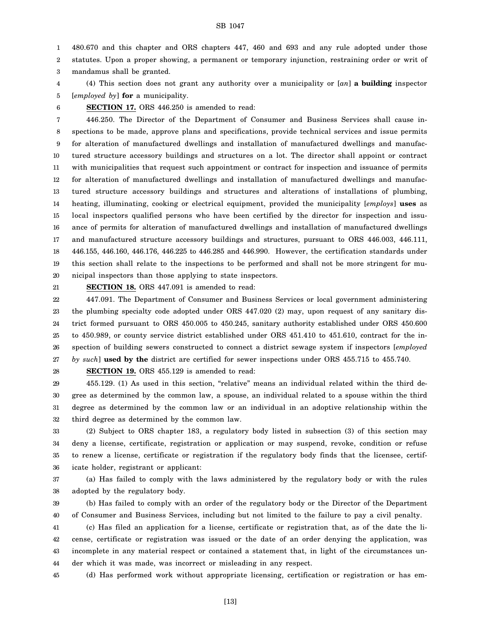1 480.670 and this chapter and ORS chapters 447, 460 and 693 and any rule adopted under those

2 statutes. Upon a proper showing, a permanent or temporary injunction, restraining order or writ of

3 mandamus shall be granted.

4 5 (4) This section does not grant any authority over a municipality or [*an*] **a building** inspector [*employed by*] **for** a municipality.

6

**SECTION 17.** ORS 446.250 is amended to read:

7 8 9 10 11 12 13 14 15 16 17 18 19 20 446.250. The Director of the Department of Consumer and Business Services shall cause inspections to be made, approve plans and specifications, provide technical services and issue permits for alteration of manufactured dwellings and installation of manufactured dwellings and manufactured structure accessory buildings and structures on a lot. The director shall appoint or contract with municipalities that request such appointment or contract for inspection and issuance of permits for alteration of manufactured dwellings and installation of manufactured dwellings and manufactured structure accessory buildings and structures and alterations of installations of plumbing, heating, illuminating, cooking or electrical equipment, provided the municipality [*employs*] **uses** as local inspectors qualified persons who have been certified by the director for inspection and issuance of permits for alteration of manufactured dwellings and installation of manufactured dwellings and manufactured structure accessory buildings and structures, pursuant to ORS 446.003, 446.111, 446.155, 446.160, 446.176, 446.225 to 446.285 and 446.990. However, the certification standards under this section shall relate to the inspections to be performed and shall not be more stringent for municipal inspectors than those applying to state inspectors.

21

**SECTION 18.** ORS 447.091 is amended to read:

22 23 24 25 26 27 447.091. The Department of Consumer and Business Services or local government administering the plumbing specialty code adopted under ORS 447.020 (2) may, upon request of any sanitary district formed pursuant to ORS 450.005 to 450.245, sanitary authority established under ORS 450.600 to 450.989, or county service district established under ORS 451.410 to 451.610, contract for the inspection of building sewers constructed to connect a district sewage system if inspectors [*employed by such*] **used by the** district are certified for sewer inspections under ORS 455.715 to 455.740.

28

**SECTION 19.** ORS 455.129 is amended to read:

29 30 31 32 455.129. (1) As used in this section, "relative" means an individual related within the third degree as determined by the common law, a spouse, an individual related to a spouse within the third degree as determined by the common law or an individual in an adoptive relationship within the third degree as determined by the common law.

33 34 35 36 (2) Subject to ORS chapter 183, a regulatory body listed in subsection (3) of this section may deny a license, certificate, registration or application or may suspend, revoke, condition or refuse to renew a license, certificate or registration if the regulatory body finds that the licensee, certificate holder, registrant or applicant:

37 38 (a) Has failed to comply with the laws administered by the regulatory body or with the rules adopted by the regulatory body.

39 40 (b) Has failed to comply with an order of the regulatory body or the Director of the Department of Consumer and Business Services, including but not limited to the failure to pay a civil penalty.

41 42 43 44 (c) Has filed an application for a license, certificate or registration that, as of the date the license, certificate or registration was issued or the date of an order denying the application, was incomplete in any material respect or contained a statement that, in light of the circumstances under which it was made, was incorrect or misleading in any respect.

45 (d) Has performed work without appropriate licensing, certification or registration or has em-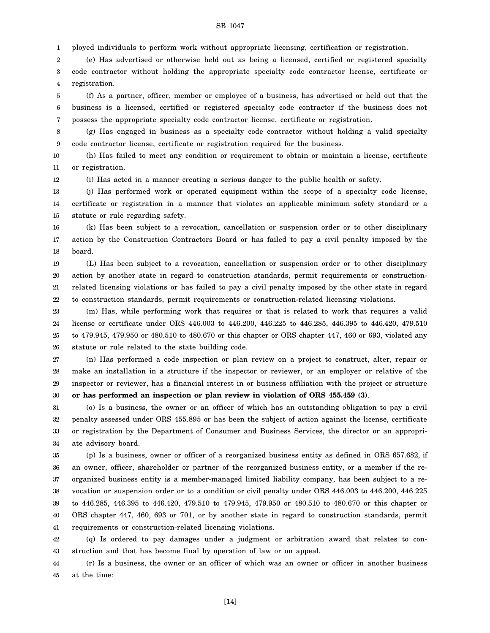1 ployed individuals to perform work without appropriate licensing, certification or registration.

2 3 4 (e) Has advertised or otherwise held out as being a licensed, certified or registered specialty code contractor without holding the appropriate specialty code contractor license, certificate or registration.

5 6 7 (f) As a partner, officer, member or employee of a business, has advertised or held out that the business is a licensed, certified or registered specialty code contractor if the business does not possess the appropriate specialty code contractor license, certificate or registration.

8 9 (g) Has engaged in business as a specialty code contractor without holding a valid specialty code contractor license, certificate or registration required for the business.

10 11 (h) Has failed to meet any condition or requirement to obtain or maintain a license, certificate or registration.

12 (i) Has acted in a manner creating a serious danger to the public health or safety.

13 14 15 (j) Has performed work or operated equipment within the scope of a specialty code license, certificate or registration in a manner that violates an applicable minimum safety standard or a statute or rule regarding safety.

16 17 18 (k) Has been subject to a revocation, cancellation or suspension order or to other disciplinary action by the Construction Contractors Board or has failed to pay a civil penalty imposed by the board.

19 20 21 22 (L) Has been subject to a revocation, cancellation or suspension order or to other disciplinary action by another state in regard to construction standards, permit requirements or constructionrelated licensing violations or has failed to pay a civil penalty imposed by the other state in regard to construction standards, permit requirements or construction-related licensing violations.

23 24 25 26 (m) Has, while performing work that requires or that is related to work that requires a valid license or certificate under ORS 446.003 to 446.200, 446.225 to 446.285, 446.395 to 446.420, 479.510 to 479.945, 479.950 or 480.510 to 480.670 or this chapter or ORS chapter 447, 460 or 693, violated any statute or rule related to the state building code.

27 28 29 30 (n) Has performed a code inspection or plan review on a project to construct, alter, repair or make an installation in a structure if the inspector or reviewer, or an employer or relative of the inspector or reviewer, has a financial interest in or business affiliation with the project or structure **or has performed an inspection or plan review in violation of ORS 455.459 (3)**.

31 32 33 34 (o) Is a business, the owner or an officer of which has an outstanding obligation to pay a civil penalty assessed under ORS 455.895 or has been the subject of action against the license, certificate or registration by the Department of Consumer and Business Services, the director or an appropriate advisory board.

35 36 37 38 39 40 41 (p) Is a business, owner or officer of a reorganized business entity as defined in ORS 657.682, if an owner, officer, shareholder or partner of the reorganized business entity, or a member if the reorganized business entity is a member-managed limited liability company, has been subject to a revocation or suspension order or to a condition or civil penalty under ORS 446.003 to 446.200, 446.225 to 446.285, 446.395 to 446.420, 479.510 to 479.945, 479.950 or 480.510 to 480.670 or this chapter or ORS chapter 447, 460, 693 or 701, or by another state in regard to construction standards, permit requirements or construction-related licensing violations.

42 43 (q) Is ordered to pay damages under a judgment or arbitration award that relates to construction and that has become final by operation of law or on appeal.

44 45 (r) Is a business, the owner or an officer of which was an owner or officer in another business at the time:

[14]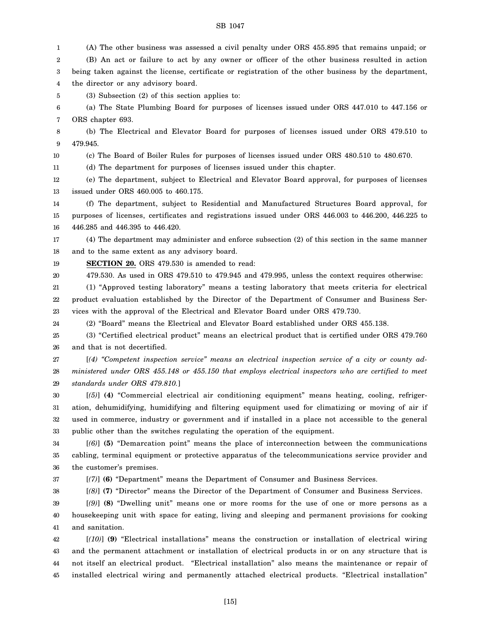1 2 3 4 5 6 7 8 9 10 11 12 13 14 15 16 17 18 19 20 21 22 23 24 25 26 27 28 29 30 31 32 33 34 35 36 37 38 39 40 41 42 43 44 45 (A) The other business was assessed a civil penalty under ORS 455.895 that remains unpaid; or (B) An act or failure to act by any owner or officer of the other business resulted in action being taken against the license, certificate or registration of the other business by the department, the director or any advisory board. (3) Subsection (2) of this section applies to: (a) The State Plumbing Board for purposes of licenses issued under ORS 447.010 to 447.156 or ORS chapter 693. (b) The Electrical and Elevator Board for purposes of licenses issued under ORS 479.510 to 479.945. (c) The Board of Boiler Rules for purposes of licenses issued under ORS 480.510 to 480.670. (d) The department for purposes of licenses issued under this chapter. (e) The department, subject to Electrical and Elevator Board approval, for purposes of licenses issued under ORS 460.005 to 460.175. (f) The department, subject to Residential and Manufactured Structures Board approval, for purposes of licenses, certificates and registrations issued under ORS 446.003 to 446.200, 446.225 to 446.285 and 446.395 to 446.420. (4) The department may administer and enforce subsection (2) of this section in the same manner and to the same extent as any advisory board. **SECTION 20.** ORS 479.530 is amended to read: 479.530. As used in ORS 479.510 to 479.945 and 479.995, unless the context requires otherwise: (1) "Approved testing laboratory" means a testing laboratory that meets criteria for electrical product evaluation established by the Director of the Department of Consumer and Business Services with the approval of the Electrical and Elevator Board under ORS 479.730. (2) "Board" means the Electrical and Elevator Board established under ORS 455.138. (3) "Certified electrical product" means an electrical product that is certified under ORS 479.760 and that is not decertified. [*(4) "Competent inspection service" means an electrical inspection service of a city or county administered under ORS 455.148 or 455.150 that employs electrical inspectors who are certified to meet standards under ORS 479.810.*] [*(5)*] **(4)** "Commercial electrical air conditioning equipment" means heating, cooling, refrigeration, dehumidifying, humidifying and filtering equipment used for climatizing or moving of air if used in commerce, industry or government and if installed in a place not accessible to the general public other than the switches regulating the operation of the equipment. [*(6)*] **(5)** "Demarcation point" means the place of interconnection between the communications cabling, terminal equipment or protective apparatus of the telecommunications service provider and the customer's premises. [*(7)*] **(6)** "Department" means the Department of Consumer and Business Services. [*(8)*] **(7)** "Director" means the Director of the Department of Consumer and Business Services. [*(9)*] **(8)** "Dwelling unit" means one or more rooms for the use of one or more persons as a housekeeping unit with space for eating, living and sleeping and permanent provisions for cooking and sanitation. [*(10)*] **(9)** "Electrical installations" means the construction or installation of electrical wiring and the permanent attachment or installation of electrical products in or on any structure that is not itself an electrical product. "Electrical installation" also means the maintenance or repair of installed electrical wiring and permanently attached electrical products. "Electrical installation"